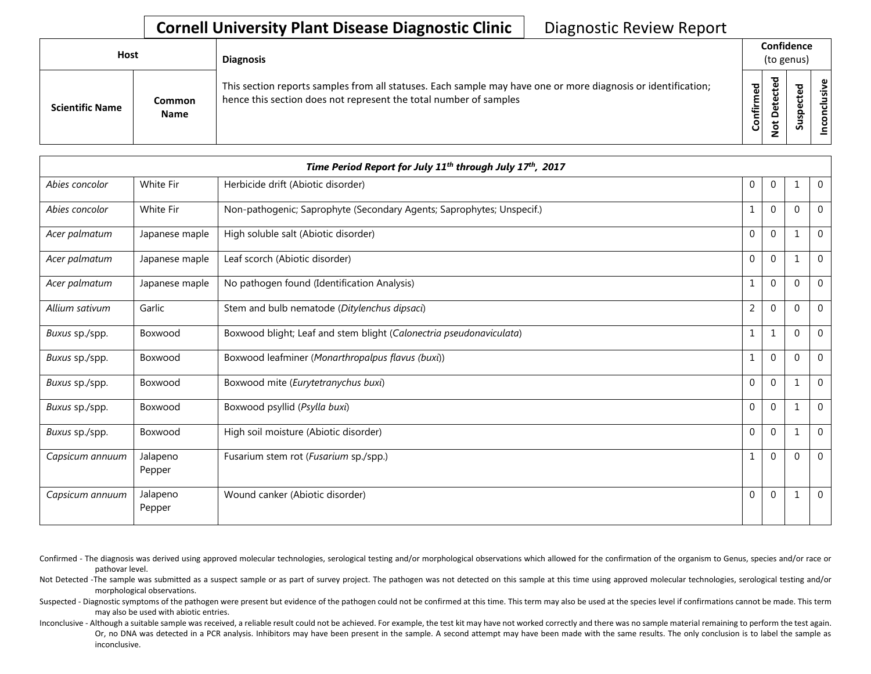| <b>Host</b>            |                       | <b>Diagnosis</b>                                                                                                                                                                   | Confidence<br>(to genus) |                             |   |                 |
|------------------------|-----------------------|------------------------------------------------------------------------------------------------------------------------------------------------------------------------------------|--------------------------|-----------------------------|---|-----------------|
| <b>Scientific Name</b> | Common<br><b>Name</b> | This section reports samples from all statuses. Each sample may have one or more diagnosis or identification;<br>hence this section does not represent the total number of samples | Confirmed                | ъ<br>Φ<br>سه<br>Δ<br>پ<br>– | ທ | ω<br>usiv<br>᠊ᠣ |

|                 |                    | Time Period Report for July 11 <sup>th</sup> through July 17 <sup>th</sup> , 2017 |                |                |              |                |
|-----------------|--------------------|-----------------------------------------------------------------------------------|----------------|----------------|--------------|----------------|
| Abies concolor  | White Fir          | Herbicide drift (Abiotic disorder)                                                | 0              | $\overline{0}$ | 1            | $\overline{0}$ |
| Abies concolor  | White Fir          | Non-pathogenic; Saprophyte (Secondary Agents; Saprophytes; Unspecif.)             | 1              | $\mathbf{0}$   | $\mathbf 0$  | $\Omega$       |
| Acer palmatum   | Japanese maple     | High soluble salt (Abiotic disorder)                                              | 0              | $\overline{0}$ | $\mathbf{1}$ | $\overline{0}$ |
| Acer palmatum   | Japanese maple     | Leaf scorch (Abiotic disorder)                                                    | $\pmb{0}$      | $\mathbf{0}$   | $\mathbf 1$  | $\Omega$       |
| Acer palmatum   | Japanese maple     | No pathogen found (Identification Analysis)                                       | 1              | $\overline{0}$ | $\mathbf{0}$ | $\overline{0}$ |
| Allium sativum  | Garlic             | Stem and bulb nematode (Ditylenchus dipsaci)                                      | $\overline{2}$ | $\pmb{0}$      | $\mathbf 0$  | $\Omega$       |
| Buxus sp./spp.  | Boxwood            | Boxwood blight; Leaf and stem blight (Calonectria pseudonaviculata)               | $\mathbf 1$    | 1              | $\mathbf 0$  | $\overline{0}$ |
| Buxus sp./spp.  | Boxwood            | Boxwood leafminer (Monarthropalpus flavus (buxi))                                 | 1              | $\mathbf 0$    | $\mathbf 0$  | $\Omega$       |
| Buxus sp./spp.  | Boxwood            | Boxwood mite (Eurytetranychus buxi)                                               | $\mathbf{0}$   | $\mathbf{0}$   | $\mathbf{1}$ | $\Omega$       |
| Buxus sp./spp.  | Boxwood            | Boxwood psyllid (Psylla buxi)                                                     | $\mathbf{0}$   | $\mathbf{0}$   | $\mathbf 1$  | $\Omega$       |
| Buxus sp./spp.  | Boxwood            | High soil moisture (Abiotic disorder)                                             | $\mathbf{0}$   | $\mathbf{0}$   | $\mathbf 1$  | $\Omega$       |
| Capsicum annuum | Jalapeno<br>Pepper | Fusarium stem rot (Fusarium sp./spp.)                                             | 1              | $\overline{0}$ | $\mathbf{0}$ | $\Omega$       |
| Capsicum annuum | Jalapeno<br>Pepper | Wound canker (Abiotic disorder)                                                   | $\mathbf{0}$   | $\mathbf{0}$   | $\mathbf{1}$ | $\overline{0}$ |

- Confirmed The diagnosis was derived using approved molecular technologies, serological testing and/or morphological observations which allowed for the confirmation of the organism to Genus, species and/or race or pathovar level.
- Not Detected -The sample was submitted as a suspect sample or as part of survey project. The pathogen was not detected on this sample at this time using approved molecular technologies, serological testing and/or morphological observations.
- Suspected Diagnostic symptoms of the pathogen were present but evidence of the pathogen could not be confirmed at this time. This term may also be used at the species level if confirmations cannot be made. This term may also be used with abiotic entries.
- Inconclusive Although a suitable sample was received, a reliable result could not be achieved. For example, the test kit may have not worked correctly and there was no sample material remaining to perform the test again. Or, no DNA was detected in a PCR analysis. Inhibitors may have been present in the sample. A second attempt may have been made with the same results. The only conclusion is to label the sample as inconclusive.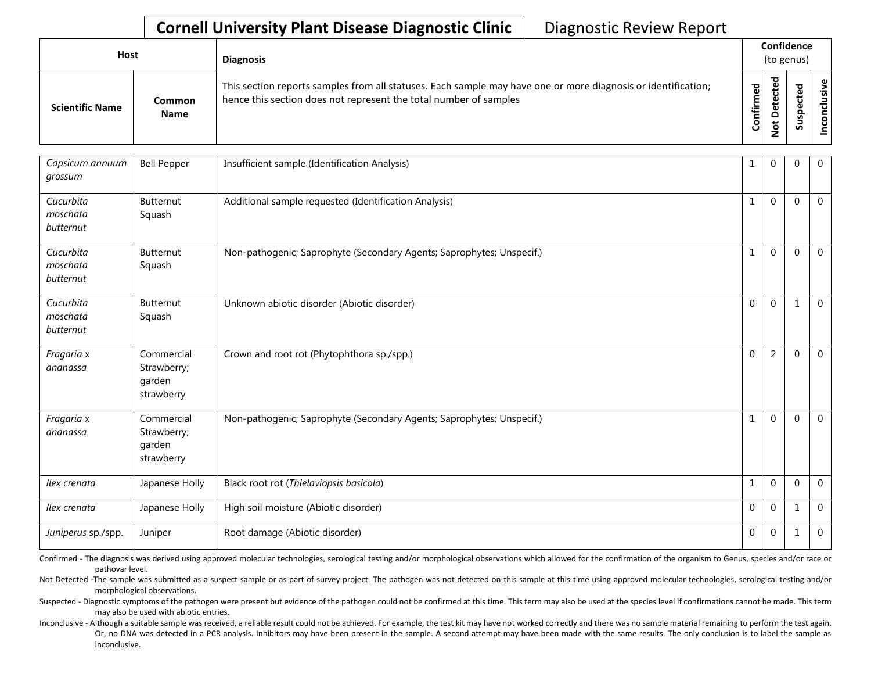| <b>Host</b>            |                       | <b>Diagnosis</b>                                                                                                                                                                   |                   | Confidence<br>(to genus)                          |              |          |  |
|------------------------|-----------------------|------------------------------------------------------------------------------------------------------------------------------------------------------------------------------------|-------------------|---------------------------------------------------|--------------|----------|--|
| <b>Scientific Name</b> | Common<br><b>Name</b> | This section reports samples from all statuses. Each sample may have one or more diagnosis or identification;<br>hence this section does not represent the total number of samples | ω<br>Ē<br>Confiri | ᇃ<br>ပ္က<br>ں<br>ω<br>ىپ<br>ά<br>≏<br>ى<br>Ö<br>- | ᅙ<br>s<br>ഄഁ | ω<br>siy |  |

| Capsicum annuum<br>grossum         | <b>Bell Pepper</b>                                | Insufficient sample (Identification Analysis)                         |              | $\overline{0}$ | $\Omega$     | $\mathbf{0}$   |
|------------------------------------|---------------------------------------------------|-----------------------------------------------------------------------|--------------|----------------|--------------|----------------|
| Cucurbita<br>moschata<br>butternut | Butternut<br>Squash                               | Additional sample requested (Identification Analysis)                 | $\mathbf{1}$ | $\mathbf{0}$   | $\Omega$     | $\mathbf 0$    |
| Cucurbita<br>moschata<br>butternut | Butternut<br>Squash                               | Non-pathogenic; Saprophyte (Secondary Agents; Saprophytes; Unspecif.) | 1            | $\mathbf{0}$   | $\Omega$     | $\Omega$       |
| Cucurbita<br>moschata<br>butternut | Butternut<br>Squash                               | Unknown abiotic disorder (Abiotic disorder)                           | $\Omega$     | $\mathbf{0}$   | 1            | $\mathbf 0$    |
| Fragaria x<br>ananassa             | Commercial<br>Strawberry;<br>garden<br>strawberry | Crown and root rot (Phytophthora sp./spp.)                            | $\mathbf{0}$ | 2              | $\Omega$     | $\Omega$       |
| Fragaria x<br>ananassa             | Commercial<br>Strawberry;<br>garden<br>strawberry | Non-pathogenic; Saprophyte (Secondary Agents; Saprophytes; Unspecif.) | $\mathbf{1}$ | $\Omega$       | $\Omega$     | $\overline{0}$ |
| Ilex crenata                       | Japanese Holly                                    | Black root rot (Thielaviopsis basicola)                               | $\mathbf{1}$ | $\mathbf{0}$   | $\Omega$     | $\mathbf 0$    |
| Ilex crenata                       | Japanese Holly                                    | High soil moisture (Abiotic disorder)                                 | $\mathbf{0}$ | $\mathbf{0}$   |              | $\mathbf 0$    |
| Juniperus sp./spp.                 | Juniper                                           | Root damage (Abiotic disorder)                                        | $\mathbf 0$  | $\mathbf{0}$   | $\mathbf{1}$ | $\overline{0}$ |

Confirmed - The diagnosis was derived using approved molecular technologies, serological testing and/or morphological observations which allowed for the confirmation of the organism to Genus, species and/or race or pathovar level.

Not Detected -The sample was submitted as a suspect sample or as part of survey project. The pathogen was not detected on this sample at this time using approved molecular technologies, serological testing and/or morphological observations.

Suspected - Diagnostic symptoms of the pathogen were present but evidence of the pathogen could not be confirmed at this time. This term may also be used at the species level if confirmations cannot be made. This term may also be used with abiotic entries.

Inconclusive - Although a suitable sample was received, a reliable result could not be achieved. For example, the test kit may have not worked correctly and there was no sample material remaining to perform the test again. Or, no DNA was detected in a PCR analysis. Inhibitors may have been present in the sample. A second attempt may have been made with the same results. The only conclusion is to label the sample as inconclusive.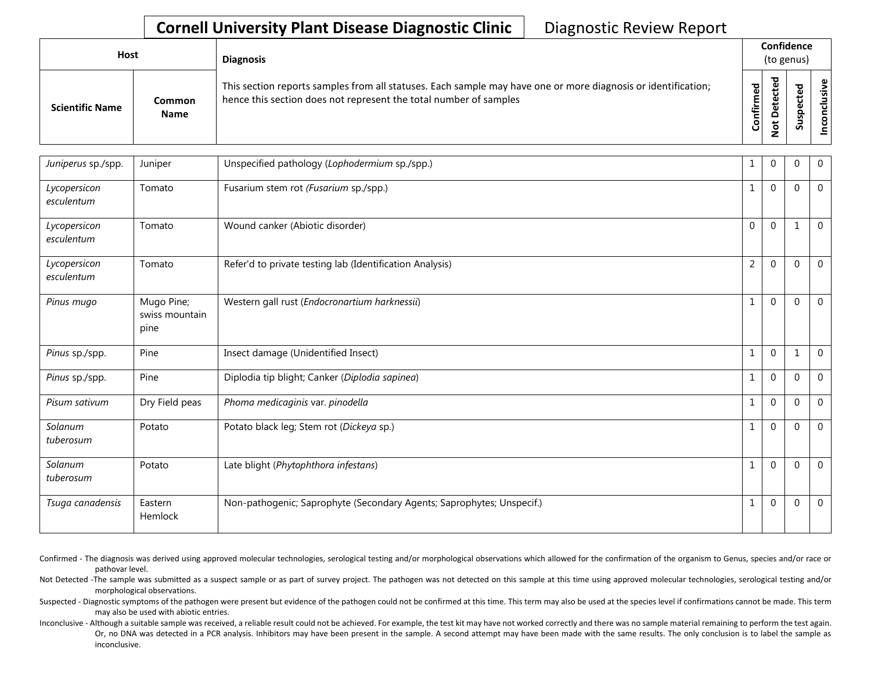| <b>Host</b>            |                       | <b>Diagnosis</b>                                                                                                                                                                   |                          | Confidence<br>(to genus)                        |              |                             |  |
|------------------------|-----------------------|------------------------------------------------------------------------------------------------------------------------------------------------------------------------------------|--------------------------|-------------------------------------------------|--------------|-----------------------------|--|
| <b>Scientific Name</b> | Common<br><b>Name</b> | This section reports samples from all statuses. Each sample may have one or more diagnosis or identification;<br>hence this section does not represent the total number of samples | ဥ<br>Ē<br>≐.<br><b>G</b> | ᅙ<br>ڣ<br>ں<br>ω<br>ىپ<br>ω<br>۵<br>پ<br>Ö<br>- | ᇃ<br>S<br>ഄഁ | $\mathbf \omega$<br>.≥<br>š |  |

| Juniperus sp./spp.         | Juniper                              | Unspecified pathology (Lophodermium sp./spp.)                         | 1              | 0            | 0            | $\overline{0}$ |
|----------------------------|--------------------------------------|-----------------------------------------------------------------------|----------------|--------------|--------------|----------------|
| Lycopersicon<br>esculentum | Tomato                               | Fusarium stem rot (Fusarium sp./spp.)                                 | 1              | $\mathbf{0}$ | $\Omega$     | $\overline{0}$ |
| Lycopersicon<br>esculentum | Tomato                               | Wound canker (Abiotic disorder)                                       | $\mathbf{0}$   | $\mathbf{0}$ | $\mathbf{1}$ | $\overline{0}$ |
| Lycopersicon<br>esculentum | Tomato                               | Refer'd to private testing lab (Identification Analysis)              | $\overline{2}$ | $\mathbf{0}$ | $\Omega$     | $\overline{0}$ |
| Pinus mugo                 | Mugo Pine;<br>swiss mountain<br>pine | Western gall rust (Endocronartium harknessii)                         | $\mathbf{1}$   | $\mathbf{0}$ | $\Omega$     | $\overline{0}$ |
| Pinus sp./spp.             | Pine                                 | Insect damage (Unidentified Insect)                                   | $\mathbf{1}$   | $\mathbf 0$  | $\mathbf{1}$ | $\overline{0}$ |
| Pinus sp./spp.             | Pine                                 | Diplodia tip blight; Canker (Diplodia sapinea)                        | $\mathbf{1}$   | $\mathbf{0}$ | $\Omega$     | $\overline{0}$ |
| Pisum sativum              | Dry Field peas                       | Phoma medicaginis var. pinodella                                      | 1              | $\mathbf{0}$ | $\Omega$     | $\overline{0}$ |
| Solanum<br>tuberosum       | Potato                               | Potato black leg; Stem rot (Dickeya sp.)                              | $\mathbf{1}$   | $\mathbf{0}$ | $\Omega$     | $\overline{0}$ |
| Solanum<br>tuberosum       | Potato                               | Late blight (Phytophthora infestans)                                  | 1              | $\mathbf{0}$ | $\mathbf{0}$ | $\overline{0}$ |
| Tsuga canadensis           | Eastern<br>Hemlock                   | Non-pathogenic; Saprophyte (Secondary Agents; Saprophytes; Unspecif.) | $\mathbf{1}$   | $\mathbf{0}$ | $\mathbf 0$  | $\overline{0}$ |

Confirmed - The diagnosis was derived using approved molecular technologies, serological testing and/or morphological observations which allowed for the confirmation of the organism to Genus, species and/or race or pathovar level.

Not Detected -The sample was submitted as a suspect sample or as part of survey project. The pathogen was not detected on this sample at this time using approved molecular technologies, serological testing and/or morphological observations.

Suspected - Diagnostic symptoms of the pathogen were present but evidence of the pathogen could not be confirmed at this time. This term may also be used at the species level if confirmations cannot be made. This term may also be used with abiotic entries.

Inconclusive - Although a suitable sample was received, a reliable result could not be achieved. For example, the test kit may have not worked correctly and there was no sample material remaining to perform the test again. Or, no DNA was detected in a PCR analysis. Inhibitors may have been present in the sample. A second attempt may have been made with the same results. The only conclusion is to label the sample as inconclusive.